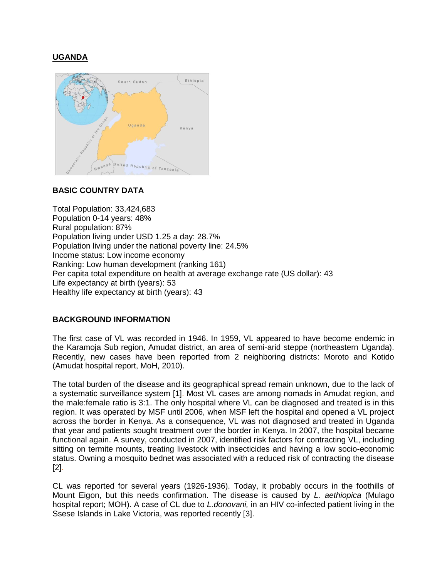# **UGANDA**



#### **BASIC COUNTRY DATA**

Total Population: 33,424,683 Population 0-14 years: 48% Rural population: 87% Population living under USD 1.25 a day: 28.7% Population living under the national poverty line: 24.5% Income status: Low income economy Ranking: Low human development (ranking 161) Per capita total expenditure on health at average exchange rate (US dollar): 43 Life expectancy at birth (years): 53 Healthy life expectancy at birth (years): 43

#### **BACKGROUND INFORMATION**

The first case of VL was recorded in 1946. In 1959, VL appeared to have become endemic in the Karamoja Sub region, Amudat district, an area of semi-arid steppe (northeastern Uganda). Recently, new cases have been reported from 2 neighboring districts: Moroto and Kotido (Amudat hospital report, MoH, 2010).

The total burden of the disease and its geographical spread remain unknown, due to the lack of a systematic surveillance system [1]. Most VL cases are among nomads in Amudat region, and the male:female ratio is 3:1. The only hospital where VL can be diagnosed and treated is in this region. It was operated by MSF until 2006, when MSF left the hospital and opened a VL project across the border in Kenya. As a consequence, VL was not diagnosed and treated in Uganda that year and patients sought treatment over the border in Kenya. In 2007, the hospital became functional again. A survey, conducted in 2007, identified risk factors for contracting VL, including sitting on termite mounts, treating livestock with insecticides and having a low socio-economic status. Owning a mosquito bednet was associated with a reduced risk of contracting the disease [2].

CL was reported for several years (1926-1936). Today, it probably occurs in the foothills of Mount Eigon, but this needs confirmation. The disease is caused by *L. aethiopica* (Mulago hospital report; MOH). A case of CL due to *L.donovani,* in an HIV co-infected patient living in the Ssese Islands in Lake Victoria, was reported recently [3].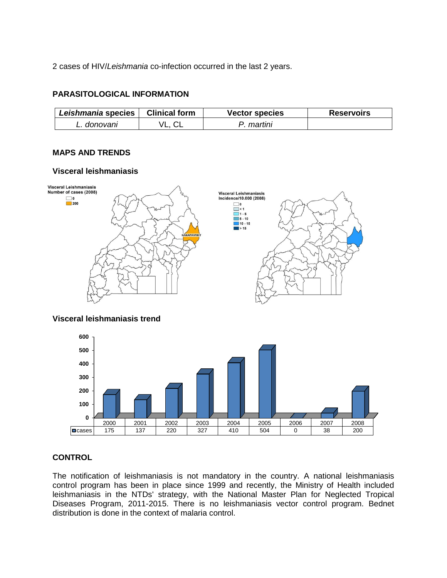2 cases of HIV/*Leishmania* co-infection occurred in the last 2 years.

## **PARASITOLOGICAL INFORMATION**

| Leishmania species | <b>Clinical form</b> | Vector species | <b>Reservoirs</b> |
|--------------------|----------------------|----------------|-------------------|
| donovanı           | VL.                  | martini        |                   |

# **MAPS AND TRENDS**

### **Visceral leishmaniasis**



### **Visceral leishmaniasis trend**



### **CONTROL**

The notification of leishmaniasis is not mandatory in the country. A national leishmaniasis control program has been in place since 1999 and recently, the Ministry of Health included leishmaniasis in the NTDs' strategy, with the National Master Plan for Neglected Tropical Diseases Program, 2011-2015. There is no leishmaniasis vector control program. Bednet distribution is done in the context of malaria control.